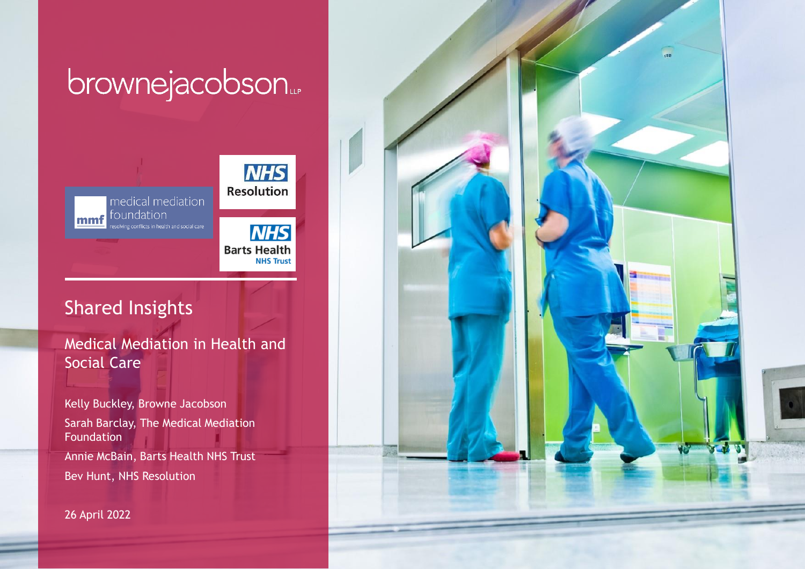# brownejacobson...



## Shared Insights

Medical Mediation in Health and Social Care

Kelly Buckley, Browne Jacobson Sarah Barclay, The Medical Mediation **Foundation** Annie McBain, Barts Health NHS Trust Bev Hunt, NHS Resolution

26 April 2022

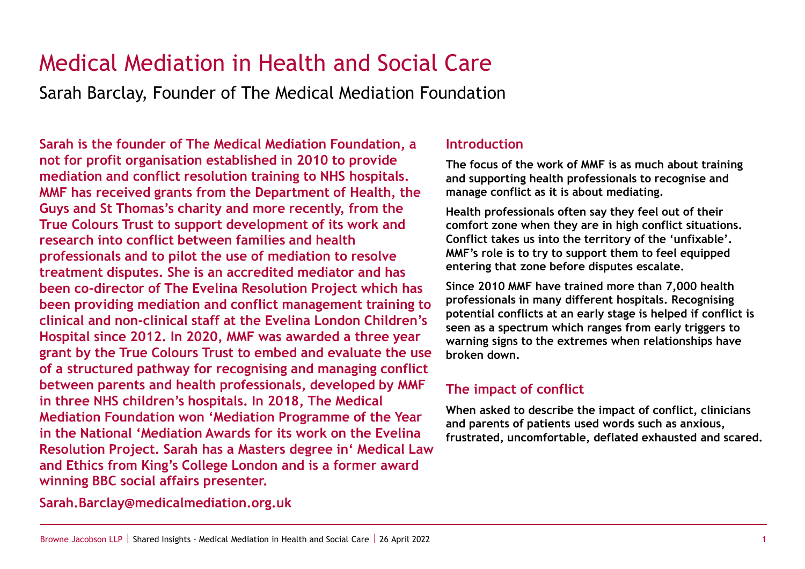## Medical Mediation in Health and Social Care

Sarah Barclay, Founder of The Medical Mediation Foundation

**Sarah is the founder of The Medical Mediation Foundation, a not for profit organisation established in 2010 to provide mediation and conflict resolution training to NHS hospitals. MMF has received grants from the Department of Health, the Guys and St Thomas's charity and more recently, from the True Colours Trust to support development of its work and research into conflict between families and health professionals and to pilot the use of mediation to resolve treatment disputes. She is an accredited mediator and has been co-director of The Evelina Resolution Project which has been providing mediation and conflict management training to clinical and non-clinical staff at the Evelina London Children's Hospital since 2012. In 2020, MMF was awarded a three year grant by the True Colours Trust to embed and evaluate the use of a structured pathway for recognising and managing conflict between parents and health professionals, developed by MMF in three NHS children's hospitals. In 2018, The Medical Mediation Foundation won 'Mediation Programme of the Year in the National 'Mediation Awards for its work on the Evelina Resolution Project. Sarah has a Masters degree in' Medical Law and Ethics from King's College London and is a former award winning BBC social affairs presenter.**

### **Introduction**

**The focus of the work of MMF is as much about training and supporting health professionals to recognise and manage conflict as it is about mediating.** 

**Health professionals often say they feel out of their comfort zone when they are in high conflict situations. Conflict takes us into the territory of the 'unfixable'. MMF's role is to try to support them to feel equipped entering that zone before disputes escalate.** 

**Since 2010 MMF have trained more than 7,000 health professionals in many different hospitals. Recognising potential conflicts at an early stage is helped if conflict is seen as a spectrum which ranges from early triggers to warning signs to the extremes when relationships have broken down.**

## **The impact of conflict**

**When asked to describe the impact of conflict, clinicians and parents of patients used words such as anxious, frustrated, uncomfortable, deflated exhausted and scared.** 

**Sarah.Barclay@medicalmediation.org.uk**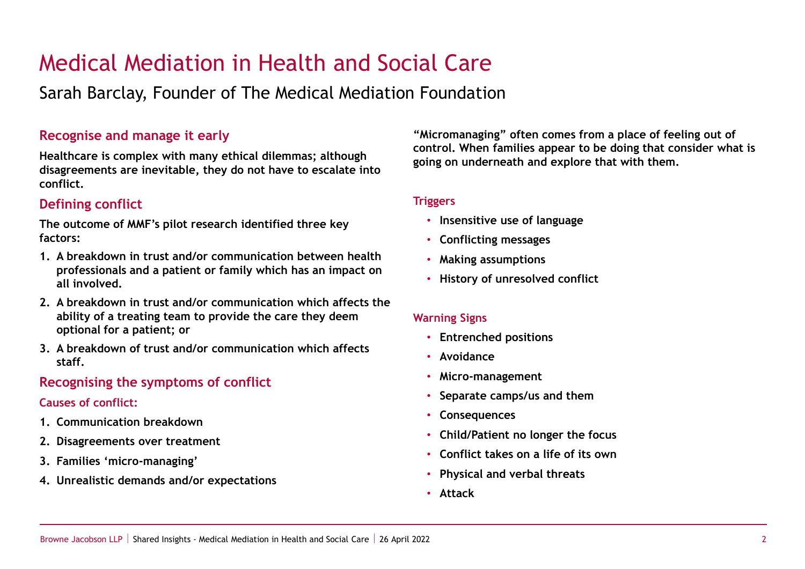## Medical Mediation in Health and Social Care

Sarah Barclay, Founder of The Medical Mediation Foundation

### **Recognise and manage it early**

**Healthcare is complex with many ethical dilemmas; although disagreements are inevitable, they do not have to escalate into conflict.** 

## **Defining conflict**

**The outcome of MMF's pilot research identified three key factors:**

- **1. A breakdown in trust and/or communication between health professionals and a patient or family which has an impact on all involved.**
- **2. A breakdown in trust and/or communication which affects the ability of a treating team to provide the care they deem optional for a patient; or**
- **3. A breakdown of trust and/or communication which affects staff.**

## **Recognising the symptoms of conflict**

### **Causes of conflict:**

- **1. Communication breakdown**
- **2. Disagreements over treatment**
- **3. Families 'micro-managing'**
- **4. Unrealistic demands and/or expectations**

**"Micromanaging" often comes from a place of feeling out of control. When families appear to be doing that consider what is going on underneath and explore that with them.**

#### **Triggers**

- **Insensitive use of language**
- **Conflicting messages**
- **Making assumptions**
- **History of unresolved conflict**

### **Warning Signs**

- **Entrenched positions**
- **Avoidance**
- **Micro-management**
- **Separate camps/us and them**
- **Consequences**
- **Child/Patient no longer the focus**
- **Conflict takes on a life of its own**
- **Physical and verbal threats**
- **Attack**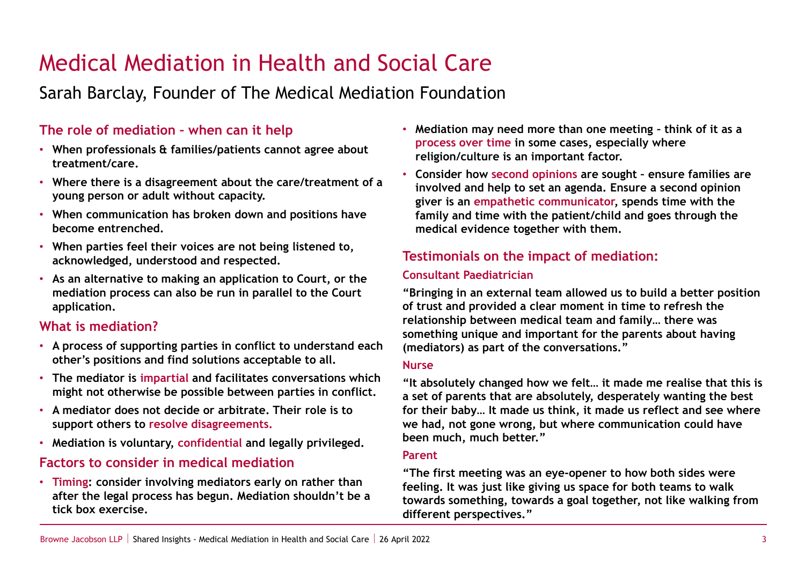## Medical Mediation in Health and Social Care

## Sarah Barclay, Founder of The Medical Mediation Foundation

## **The role of mediation – when can it help**

- **When professionals & families/patients cannot agree about treatment/care.**
- **Where there is a disagreement about the care/treatment of a young person or adult without capacity.**
- **When communication has broken down and positions have become entrenched.**
- **When parties feel their voices are not being listened to, acknowledged, understood and respected.**
- **As an alternative to making an application to Court, or the mediation process can also be run in parallel to the Court application.**

## **What is mediation?**

- **A process of supporting parties in conflict to understand each other's positions and find solutions acceptable to all.**
- **The mediator is impartial and facilitates conversations which might not otherwise be possible between parties in conflict.**
- **A mediator does not decide or arbitrate. Their role is to support others to resolve disagreements.**
- **Mediation is voluntary, confidential and legally privileged.**

## **Factors to consider in medical mediation**

• **Timing: consider involving mediators early on rather than after the legal process has begun. Mediation shouldn't be a tick box exercise.** 

- **Mediation may need more than one meeting – think of it as a process over time in some cases, especially where religion/culture is an important factor.**
- **Consider how second opinions are sought – ensure families are involved and help to set an agenda. Ensure a second opinion giver is an empathetic communicator, spends time with the family and time with the patient/child and goes through the medical evidence together with them.**

## **Testimonials on the impact of mediation:**

#### **Consultant Paediatrician**

**"Bringing in an external team allowed us to build a better position of trust and provided a clear moment in time to refresh the relationship between medical team and family… there was something unique and important for the parents about having (mediators) as part of the conversations."**

#### **Nurse**

**"It absolutely changed how we felt… it made me realise that this is a set of parents that are absolutely, desperately wanting the best for their baby… It made us think, it made us reflect and see where we had, not gone wrong, but where communication could have been much, much better."**

#### **Parent**

**"The first meeting was an eye-opener to how both sides were feeling. It was just like giving us space for both teams to walk towards something, towards a goal together, not like walking from different perspectives."**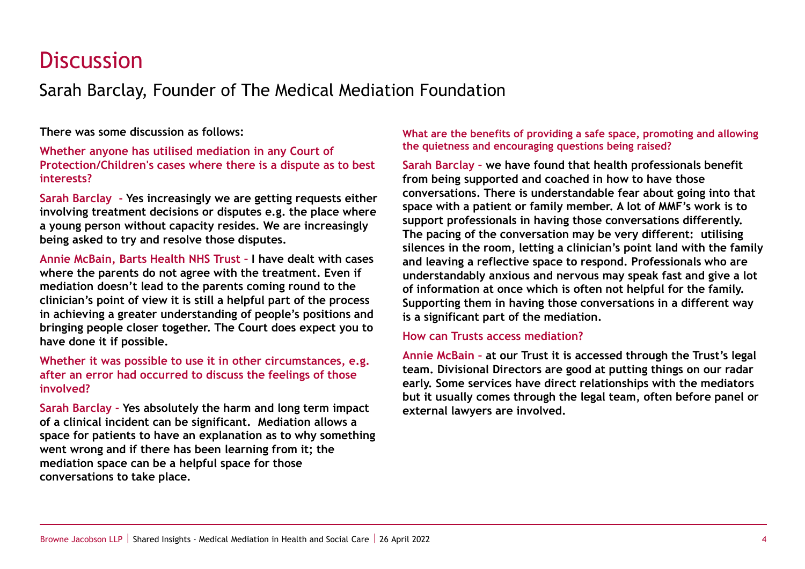## **Discussion**

Sarah Barclay, Founder of The Medical Mediation Foundation

**There was some discussion as follows:**

**Whether anyone has utilised mediation in any Court of Protection/Children's cases where there is a dispute as to best interests?**

**Sarah Barclay - Yes increasingly we are getting requests either involving treatment decisions or disputes e.g. the place where a young person without capacity resides. We are increasingly being asked to try and resolve those disputes.** 

**Annie McBain, Barts Health NHS Trust – I have dealt with cases where the parents do not agree with the treatment. Even if mediation doesn't lead to the parents coming round to the clinician's point of view it is still a helpful part of the process in achieving a greater understanding of people's positions and bringing people closer together. The Court does expect you to have done it if possible.** 

**Whether it was possible to use it in other circumstances, e.g. after an error had occurred to discuss the feelings of those involved?**

**Sarah Barclay - Yes absolutely the harm and long term impact of a clinical incident can be significant. Mediation allows a space for patients to have an explanation as to why something went wrong and if there has been learning from it; the mediation space can be a helpful space for those conversations to take place.** 

#### **What are the benefits of providing a safe space, promoting and allowing the quietness and encouraging questions being raised?**

**Sarah Barclay – we have found that health professionals benefit from being supported and coached in how to have those conversations. There is understandable fear about going into that space with a patient or family member. A lot of MMF's work is to support professionals in having those conversations differently. The pacing of the conversation may be very different: utilising silences in the room, letting a clinician's point land with the family and leaving a reflective space to respond. Professionals who are understandably anxious and nervous may speak fast and give a lot of information at once which is often not helpful for the family. Supporting them in having those conversations in a different way is a significant part of the mediation.** 

#### **How can Trusts access mediation?**

**Annie McBain – at our Trust it is accessed through the Trust's legal team. Divisional Directors are good at putting things on our radar early. Some services have direct relationships with the mediators but it usually comes through the legal team, often before panel or external lawyers are involved.**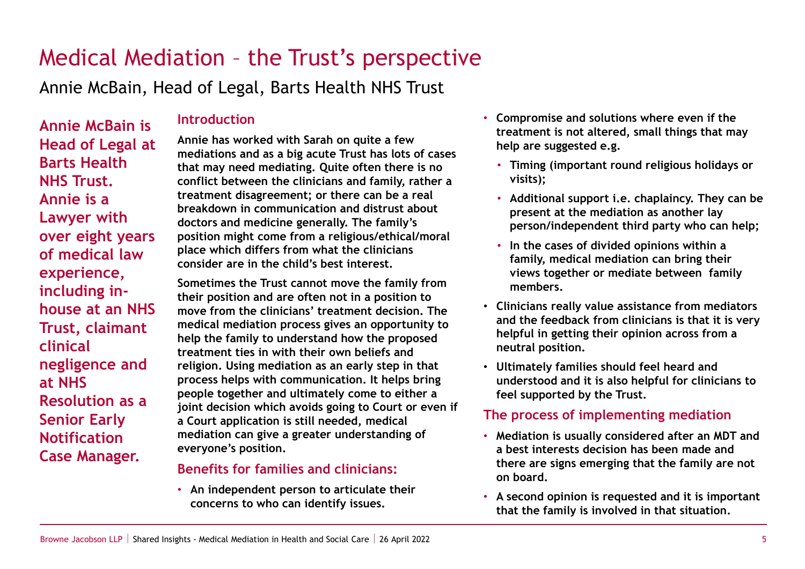## Medical Mediation – the Trust's perspective

Annie McBain, Head of Legal, Barts Health NHS Trust

**Annie McBain is Head of Legal at Barts Health NHS Trust. Annie is a Lawyer with over eight years of medical law experience, including inhouse at an NHS Trust, claimant clinical negligence and at NHS Resolution as a Senior Early Notification Case Manager.** 

## **Introduction**

**Annie has worked with Sarah on quite a few mediations and as a big acute Trust has lots of cases that may need mediating. Quite often there is no conflict between the clinicians and family, rather a treatment disagreement; or there can be a real breakdown in communication and distrust about doctors and medicine generally. The family's position might come from a religious/ethical/moral place which differs from what the clinicians consider are in the child's best interest.** 

**Sometimes the Trust cannot move the family from their position and are often not in a position to move from the clinicians' treatment decision. The medical mediation process gives an opportunity to help the family to understand how the proposed treatment ties in with their own beliefs and religion. Using mediation as an early step in that process helps with communication. It helps bring people together and ultimately come to either a joint decision which avoids going to Court or even if a Court application is still needed, medical mediation can give a greater understanding of everyone's position.**

### **Benefits for families and clinicians:**

• **An independent person to articulate their concerns to who can identify issues.**

- **Compromise and solutions where even if the treatment is not altered, small things that may help are suggested e.g.**
	- **Timing (important round religious holidays or visits);**
	- **Additional support i.e. chaplaincy. They can be present at the mediation as another lay person/independent third party who can help;**
	- **In the cases of divided opinions within a family, medical mediation can bring their views together or mediate between family members.**
- **Clinicians really value assistance from mediators and the feedback from clinicians is that it is very helpful in getting their opinion across from a neutral position.**
- **Ultimately families should feel heard and understood and it is also helpful for clinicians to feel supported by the Trust.**

## **The process of implementing mediation**

- **Mediation is usually considered after an MDT and a best interests decision has been made and there are signs emerging that the family are not on board.**
- **A second opinion is requested and it is important that the family is involved in that situation.**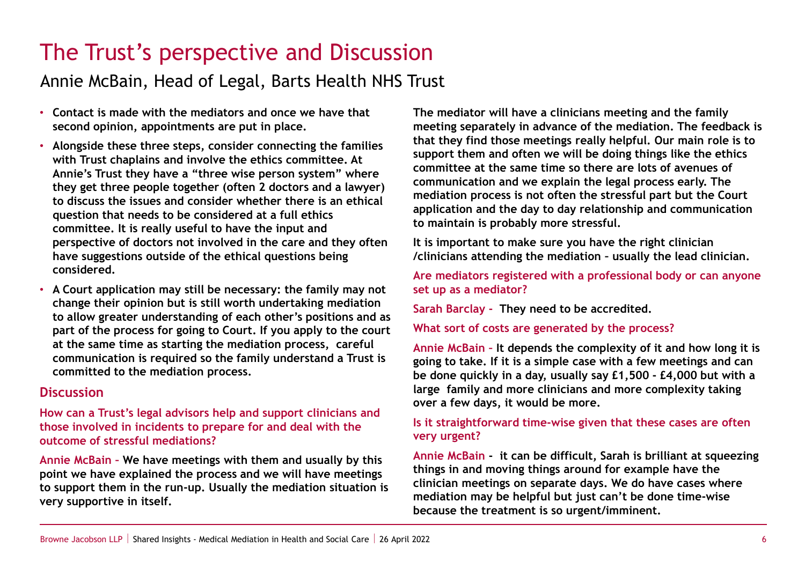## The Trust's perspective and Discussion

## Annie McBain, Head of Legal, Barts Health NHS Trust

- **Contact is made with the mediators and once we have that second opinion, appointments are put in place.**
- **Alongside these three steps, consider connecting the families with Trust chaplains and involve the ethics committee. At Annie's Trust they have a "three wise person system" where they get three people together (often 2 doctors and a lawyer) to discuss the issues and consider whether there is an ethical question that needs to be considered at a full ethics committee. It is really useful to have the input and perspective of doctors not involved in the care and they often have suggestions outside of the ethical questions being considered.**
- **A Court application may still be necessary: the family may not change their opinion but is still worth undertaking mediation to allow greater understanding of each other's positions and as part of the process for going to Court. If you apply to the court at the same time as starting the mediation process, careful communication is required so the family understand a Trust is committed to the mediation process.**

### **Discussion**

**How can a Trust's legal advisors help and support clinicians and those involved in incidents to prepare for and deal with the outcome of stressful mediations?** 

**Annie McBain – We have meetings with them and usually by this point we have explained the process and we will have meetings to support them in the run-up. Usually the mediation situation is very supportive in itself.**

**The mediator will have a clinicians meeting and the family meeting separately in advance of the mediation. The feedback is that they find those meetings really helpful. Our main role is to support them and often we will be doing things like the ethics committee at the same time so there are lots of avenues of communication and we explain the legal process early. The mediation process is not often the stressful part but the Court application and the day to day relationship and communication to maintain is probably more stressful.** 

**It is important to make sure you have the right clinician /clinicians attending the mediation – usually the lead clinician.**

**Are mediators registered with a professional body or can anyone set up as a mediator?** 

**Sarah Barclay - They need to be accredited.** 

**What sort of costs are generated by the process?**

**Annie McBain – It depends the complexity of it and how long it is going to take. If it is a simple case with a few meetings and can be done quickly in a day, usually say £1,500 - £4,000 but with a large family and more clinicians and more complexity taking over a few days, it would be more.**

#### **Is it straightforward time-wise given that these cases are often very urgent?**

**Annie McBain - it can be difficult, Sarah is brilliant at squeezing things in and moving things around for example have the clinician meetings on separate days. We do have cases where mediation may be helpful but just can't be done time-wise because the treatment is so urgent/imminent.**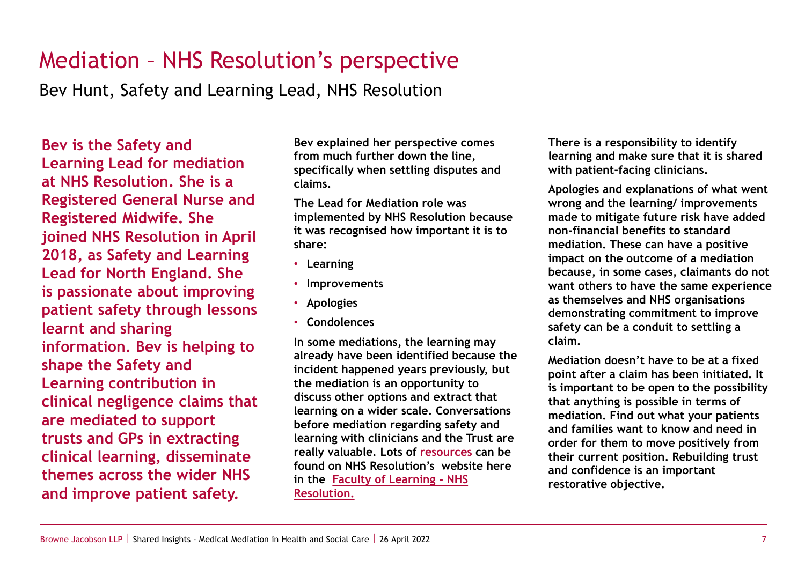## Mediation – NHS Resolution's perspective

Bev Hunt, Safety and Learning Lead, NHS Resolution

**Bev is the Safety and Learning Lead for mediation at NHS Resolution. She is a Registered General Nurse and Registered Midwife. She joined NHS Resolution in April 2018, as Safety and Learning Lead for North England. She is passionate about improving patient safety through lessons learnt and sharing information. Bev is helping to shape the Safety and Learning contribution in clinical negligence claims that are mediated to support trusts and GPs in extracting clinical learning, disseminate themes across the wider NHS and improve patient safety.**

**Bev explained her perspective comes from much further down the line, specifically when settling disputes and claims.** 

**The Lead for Mediation role was implemented by NHS Resolution because it was recognised how important it is to share:**

- **Learning**
- **Improvements**
- **Apologies**
- **Condolences**

**In some mediations, the learning may already have been identified because the incident happened years previously, but the mediation is an opportunity to discuss other options and extract that learning on a wider scale. Conversations before mediation regarding safety and learning with clinicians and the Trust are really valuable. Lots of resources can be found on NHS Resolution's website here [in the Faculty of Learning -](https://resolution.nhs.uk/faculty-of-learning/) NHS Resolution.**

**There is a responsibility to identify learning and make sure that it is shared with patient-facing clinicians.**

**Apologies and explanations of what went wrong and the learning/ improvements made to mitigate future risk have added non-financial benefits to standard mediation. These can have a positive impact on the outcome of a mediation because, in some cases, claimants do not want others to have the same experience as themselves and NHS organisations demonstrating commitment to improve safety can be a conduit to settling a claim.**

**Mediation doesn't have to be at a fixed point after a claim has been initiated. It is important to be open to the possibility that anything is possible in terms of mediation. Find out what your patients and families want to know and need in order for them to move positively from their current position. Rebuilding trust and confidence is an important restorative objective.**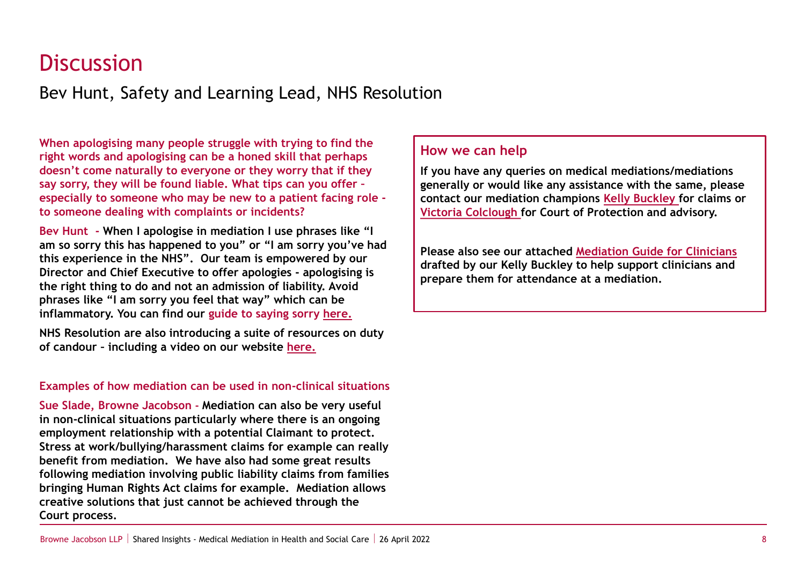## **Discussion**

Bev Hunt, Safety and Learning Lead, NHS Resolution

**When apologising many people struggle with trying to find the right words and apologising can be a honed skill that perhaps doesn't come naturally to everyone or they worry that if they say sorry, they will be found liable. What tips can you offer – especially to someone who may be new to a patient facing role to someone dealing with complaints or incidents?**

**Bev Hunt - When I apologise in mediation I use phrases like "I am so sorry this has happened to you" or "I am sorry you've had this experience in the NHS". Our team is empowered by our Director and Chief Executive to offer apologies - apologising is the right thing to do and not an admission of liability. Avoid phrases like "I am sorry you feel that way" which can be inflammatory. You can find our guide to saying sorry [here.](https://resolution.nhs.uk/resources/saying-sorry/)**

**NHS Resolution are also introducing a suite of resources on duty of candour – including a video on our website [here.](https://resolution.nhs.uk/2022/03/31/duty-of-candour-animation-offers-guidance-on-the-importance-of-being-open-and-honest/?utm_medium=email&utm_campaign=Resolution%20Matters%20March%202022&utm_content=Resolution%20Matters%20March%202022+CID_0d997cb0608d24f4fc2ef8224baa34b0&utm_source=Email%20marketing%20software&utm_term=Duty%20of%20candour%20animation)**

#### **Examples of how mediation can be used in non-clinical situations**

**Sue Slade, Browne Jacobson - Mediation can also be very useful in non-clinical situations particularly where there is an ongoing employment relationship with a potential Claimant to protect. Stress at work/bullying/harassment claims for example can really benefit from mediation. We have also had some great results following mediation involving public liability claims from families bringing Human Rights Act claims for example. Mediation allows creative solutions that just cannot be achieved through the Court process.**

### **How we can help**

**If you have any queries on medical mediations/mediations generally or would like any assistance with the same, please contact our mediation champions [Kelly Buckley](mailto:kelly.buckley@brownejacobson.com) for claims or [Victoria Colclough f](mailto:victoria.colclough@brownejacobson.com)or Court of Protection and advisory.**

**Please also see our attached [Mediation Guide for Clinicians](https://www.brownejacobson.com/-/media/files/pdf-documents/health/shared-insights/browne-jacobson-llp---mediation-guide-for-clinicians.ashx) drafted by our Kelly Buckley to help support clinicians and prepare them for attendance at a mediation.**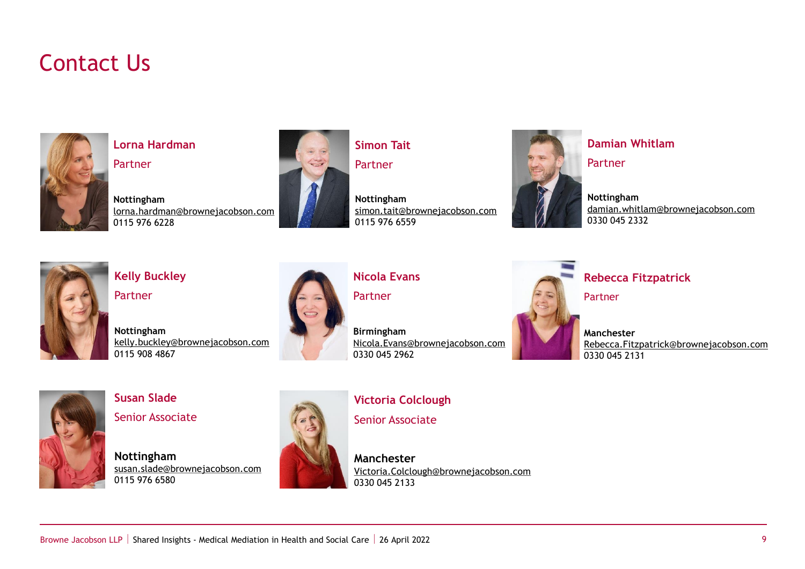## Contact Us



**Lorna Hardman**

Partner

**Nottingham** [lorna.hardman@brownejacobson.com](mailto:lorna.hardman@brownejacobson.com) 0115 976 6228



**Simon Tait**

Partner

**Nottingham** [simon.tait@brownejacobson.com](mailto:simon.tait@brownejacobson.com) 0115 976 6559



**Damian Whitlam** Partner

**Nottingham** [damian.whitlam@brownejacobson.com](mailto:damian.whitlam@brownejacobson.com) 0330 045 2332



**Kelly Buckley Partner** 

0115 908 4867

**Nottingham** [kelly.buckley@brownejacobson.com](mailto:kelly.buckley@brownejacobson.com)



**Nicola Evans**

Partner

**Birmingham** [Nicola.Evans@brownejacobson.com](mailto:Nicola.Evans@brownejacobson.com) 0330 045 2962



**Rebecca Fitzpatrick**

Partner

**Manchester** [Rebecca.Fitzpatrick@brownejacobson.com](mailto:Rebecca.Fitzpatrick@brownejacobson.com) 0330 045 2131



**Susan Slade** Senior Associate

**Nottingham** [susan.slade@brownejacobson.com](mailto:susan.slade@brownejacobson.com) 0115 976 6580



**Victoria Colclough**  Senior Associate

**Manchester** [Victoria.Colclough@brownejacobson.com](mailto:Victoria.Colclough@brownejacobson.com) 0330 045 2133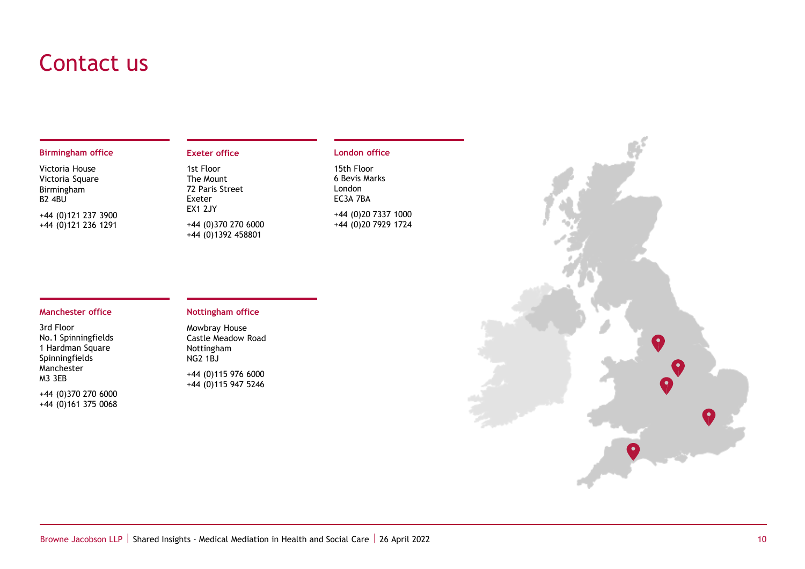## Contact us

#### **Birmingham office**

Victoria House Victoria Square Birmingham B2 4BU +44 (0)121 237 3900 +44 (0)121 236 1291

#### **Exeter office**

1st Floor The Mount 72 Paris Street Exeter EX1 2JY +44 (0)370 270 6000 +44 (0)1392 458801

#### **London office**

15th Floor 6 Bevis Marks London EC3A 7BA

+44 (0)20 7337 1000 +44 (0)20 7929 1724

#### **Manchester office**

3rd Floor No.1 Spinningfields 1 Hardman Square Spinningfields Manchester M3 3EB

+44 (0)370 270 6000 +44 (0)161 375 0068

#### **Nottingham office**

Mowbray House Castle Meadow Road Nottingham NG2 1BJ

+44 (0)115 976 6000 +44 (0)115 947 5246